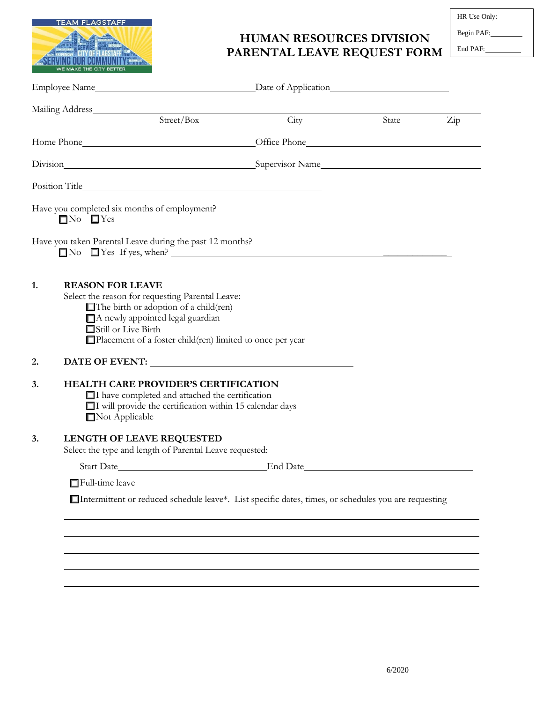

## **HUMAN RESOURCES DIVISION PARENTAL LEAVE REQUEST FORM**

HR Use Only:

Begin PAF:

End PAF:

| Mailing Address Mailing Address                                                                                                                                                                                                                                  |          |       |                      |
|------------------------------------------------------------------------------------------------------------------------------------------------------------------------------------------------------------------------------------------------------------------|----------|-------|----------------------|
| Street/Box                                                                                                                                                                                                                                                       | City     | State | $\operatorname{Zip}$ |
|                                                                                                                                                                                                                                                                  |          |       |                      |
| Division Supervisor Name                                                                                                                                                                                                                                         |          |       |                      |
|                                                                                                                                                                                                                                                                  |          |       |                      |
| Have you completed six months of employment?<br>$\Box$ No $\Box$ Yes                                                                                                                                                                                             |          |       |                      |
| Have you taken Parental Leave during the past 12 months?                                                                                                                                                                                                         |          |       |                      |
| <b>REASON FOR LEAVE</b><br>1.<br>Select the reason for requesting Parental Leave:<br>$\Box$ The birth or adoption of a child(ren)<br>A newly appointed legal guardian<br>Still or Live Birth<br>$\Box$ Placement of a foster child(ren) limited to once per year |          |       |                      |
| 2.                                                                                                                                                                                                                                                               |          |       |                      |
| <b>HEALTH CARE PROVIDER'S CERTIFICATION</b><br>3.<br>I have completed and attached the certification<br>$\Box$ I will provide the certification within 15 calendar days<br>Not Applicable                                                                        |          |       |                      |
| 3.<br>LENGTH OF LEAVE REQUESTED                                                                                                                                                                                                                                  |          |       |                      |
| Select the type and length of Parental Leave requested:                                                                                                                                                                                                          | End Date |       |                      |
| Full-time leave                                                                                                                                                                                                                                                  |          |       |                      |
| $\Box$ Intermittent or reduced schedule leave*. List specific dates, times, or schedules you are requesting                                                                                                                                                      |          |       |                      |
|                                                                                                                                                                                                                                                                  |          |       |                      |
|                                                                                                                                                                                                                                                                  |          |       |                      |
|                                                                                                                                                                                                                                                                  |          |       |                      |